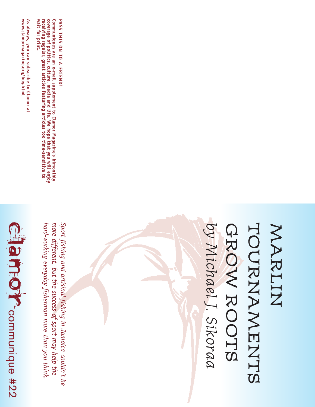

hard-working everyday fisherman more than you think. more different, but the success of sport may help the Sport fishing and artisinal fishing in Jamaica couldn't be *Sport fishing and artisinal fishing in Jamaica couldn't behard-working everyday fisherman more than you think. more different, but the success of sport may help the*

As always, you can subscribe to Clamor at<br>www.clamormagazine.org/buy.html **always, you can subscribe to Clamor at www.clamormagazine.org/buy.html** 

Communiques are an e-mail supplement to Clamor Magazine's bimonthly<br>coverage of politics, culture, media and life. We hope that you will enjoy<br>receiving regular, great articles featuring articles too time-sensitive to<br>wait **coverage of politics, culture, media and life. We hope that you will enjoy Communiques are an e-mail supplement to Clamor Magazine's bimonthly eceiving regular, great articles featuring articles too time-sensitive to wait for print.** 

PASS THIS ON TO A FRIEND! **PASS THIS ON TO A FRIEND!**

## by Michael J. Sikoraa TOURNAMENTS MARLIN *by Michael J. Sikoraa* GROW ROOTS TOURNAMENTS GROW ROOTS MARLIN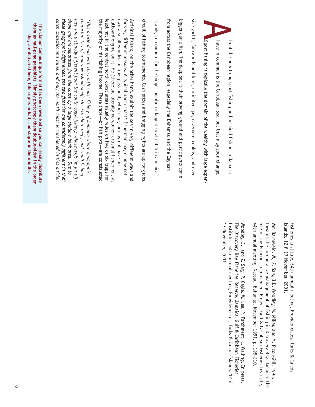*catch statistics and value, and only the north coast is considered in this article. these geographic differences, the two fisheries are considerably different in their shore and are separated from the coast by a large shallow bank area. Due to area are distinctly different from the south coast fishery, whose reefs lie far off characteristics of a narrow island shelf, close-to-shore reefs, and small fishing \*This article deals with the north coast fishery of Jamaica whose geographic*

catch statistics and value, and only the north coast is considered in this article these geographic differences, the two fisheries are considerably different in their shore and are separated from the coast by a large shallow bank area. Due to area are distinctly different from the south coast fishery, whose reefs lie far off

characteristics of a narrow island shelf, close-to-shore reefs, and small fishing \*This article deals with the north coast fishery of Jamaica whose geographic the majority of his fishing income. These traps—or fish pots—are constructed outboard engine on it. He (there are literally no women artisinal fishermen, at own a small wooden or fiberglass boat, which may or may not have an for very different reasons. A typical north coast\* fisherman may or may not circuit of fishing tournaments. Cash prizes and bragging rights are up for grabs from across the Caribbean region, especially the Bahamas and the Cayman bigger game fish. The deep sea is their proving ground and participants come sive yachts, fancy rods and lures, unlimited gas, cavernous coolers, and even least not in the central north coast area) usually relies on five or six traps for Artisinal fishers, on the other hand, exploit the sea in very different ways and Islands, to compete for the biggest marlin or largest total catch in Jamaica's the majority of his fishing income. These traps—or fish pots—are constructed least not in the central north coast area) usually relies on five or six traps for outboard engine on it. He (there are literally no women artisinal fishermen, at own a small wooden or fiberglass boat, which may or may not have an Artisinal fishers, on the other hand, exploit the sea in very different ways and circuit of fishing tournaments. Cash prizes and bragging rights are up for grabs. from across the Caribbean region, especially the Bahamas and the Cayman bigger game fish. The deep sea is their proving ground and participants come sive yachts, fancy rods and lures, unlimited gas, cavernous coolers, and even bout the only thing sport fishing and artisinal fishing in Jamaica<br>have in common is the Caribbean Sea, but that may soon change.<br>Sport fishing is typically the domain of the wealthy with large expenor very different reasons. A typical north coast\* fisherman may or may not slands, to compete for the biggest marlin or largest total catch in Jamaica's Sport fishing is typically the domain of the wealthy with large expenhave in common is the Caribbean Sea, but that may soon change. bout the only thing sport fishing and artisinal fishing in Jamaica

> Islands, 12 ñ 17 November, 2001. Fisheries Institute, 54th annual meeting, Providenciales, Turks & Caicos Fisheries Institute, 54th annual meeting, Providenciales, Turks & Caicos slands, 12 ñ 17 November, 2001.

role of the Fisheries Improvement Project. Gulf & Caribbean Fisheries Institute, 44th annual meeting, Nassau, Bahamas, November 1991, p. 195-210. Towards the co-operative management of fishing in Discovery Bay, Jamaica: the Van Barneveld, W., Z. Sary, J.D. Woodley, M. Miller, and M. Picou-Gill. 1996. 44th annual meeting, Nassau, Bahamas, November 1991, p. 195-210. role of the Fisheries Improvement Project. Gulf & Caribbean Fisheries Institute, Towards the co-operative management of fishing in Discovery Bay, Jamaica: the Van Barneveld, W., Z. Sary, J.D. Woodley, M. Miller, and M. Picou-Gill. 1996.

17 November, 2001. Institute, 54th annual meeting, Providenciales, Turks & Caicos Islands, 12 ñ The Discovery Bay Fisheries Reserve, Jamaica. Gulf & Caribbean Fisheries Woodley, J., and Z. Sary, P. Gayle, W. Lee, P. Parchment, L. Walling. In press. 17 November, 2001. Institute, 54th annual meeting, Providenciales, Turks & Caicos Islands, 12 ñ The Discovery Bay Fisheries Reserve, Jamaica. Gulf & Caribbean Fisheries oodley, J., and Z. Sary, P. Gayle, W. Lee, P. Parchment, L. Walling. In press.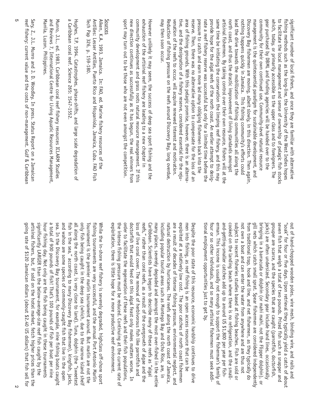| significantly LARGER than the below-average-size reef fish caught by the<br>artisinal fishers, but, if sold on the hotel market, fetch higher prices than the<br>going rate of \$120 Jamaican dollars (about \$2.40 US dollars) that fish sell for                                                                  | Sary, Z., J.L. Munro and J. D. Woodley. In press. Status Report on a Jamaican<br>reef fishery: current value and the costs of non-management. Gulf & Caribbean                                    |
|---------------------------------------------------------------------------------------------------------------------------------------------------------------------------------------------------------------------------------------------------------------------------------------------------------------------|---------------------------------------------------------------------------------------------------------------------------------------------------------------------------------------------------|
| sea. In the Discovery Bay tournament, for example, nine fishing boats caught<br>and wahoo are some species of commonly-caught fish that live in the open<br>hour fishing day. Not only are the fish being caught in these tournaments<br>a total of 900 pounds of fish! That's 100 pounds of fish per boat per nine | and Reviews 7, International Centre for Living Aquatic Resources Management,<br>Munro, J.L., ed. 1983. Caribbean coral reef fishery resources ICLARM Studies<br>Manila, Luzon, Philippines.       |
| fish in the sea," according to many Discovery Bay fishermen), kingfish, jacks,<br>all along<br>the north coast, is very close to land). Tuna, dolphin (the "sweetest<br>being caught in the deep sea (which, due to the narrow island shelf                                                                         | a Caribbean coral reef. Science 265: 1547-1552.<br>Hughes, T.P. 1994. Catastrophes, phase-shifts, and large scale degradation of                                                                  |
| only fish<br>fishing tournaments are very successful, and the annual Port Antonio Marlin<br>While the<br>Tournament is the premier marlin tournament around. But marlin are not the<br>in-shore reef fishery is severely degraded, highclass off-shore sport                                                        | Sources<br>Aiken, K.A. 1993. Jamaica. In: FAO, ed. Marine fishery resources of the<br>Antilles: Lesser Antilles, Puerto Rico and Hispaniola, Jamaica, Cuba. FAO Fish<br>Tech Pap 326, p. 159-180. |
| the intense fishing pressure must be reduced. Continuing at the current rate of<br>order to facilitate the regeneration of these reefs and their fish populations,<br>exploitation, there is little hope for a more productive reef environment.                                                                    | sport may turn out to be those who are not even amongst the competition.                                                                                                                          |
| doctorfish<br>loss of live coral cover. The removal of herbivorous fish like parrotfish and<br>that would feed on this algal feast only makes matters worse. In                                                                                                                                                     | new direction continues as successfully as it has begun, the real winners from<br>community development and grass roots natural resource management. If this                                      |
| reefs," rather than coral reefs, as a result of the overgrowth of algae and the<br>Caribbean. Scientists have begun to describe many of these reefs as "algal                                                                                                                                                       | exhaustion of the artisinal reef fishery are leading to a new chapter in<br>However unlikely it may seem, the success of deep sea sport fishing and<br>the                                        |
| including<br>many places, severely degraded and amongst the most over-fished in the entire<br>popular tourist areas such as Montego Bay and Ocho Rios, are, in                                                                                                                                                      | may then soon occur.                                                                                                                                                                              |
| natural destruction by hurricanes. The reefs along the north coast of Jamaica,                                                                                                                                                                                                                                      | Reduction of fishing pressure on the reefs around Discovery Bay, long overdue.                                                                                                                    |
| are a result of decades of intense fishing pressure, environmental neglect, and<br>exploited<br>at a relatively low cost. The poor catches of north coast fishermen                                                                                                                                                 | venation of the reefs to occur, will acquire renewed interest and motivation.<br>tive, and the designation of a fishery reserve, considered essential for the reju-                               |
| men into fishing, as reef fishing is an open access resource that can be<br>Despite the poor state of this resource, economic hardship continues to drive                                                                                                                                                           | area of fishing grounds. With this pelagic promise, however, there is an alterna-<br>reserve. Then, there was no alternative option to compensate for the loss of an                              |
|                                                                                                                                                                                                                                                                                                                     | pressure to catch and earn more led many obliging fishermen back into the                                                                                                                         |
| tional employment opportunities just to get by.                                                                                                                                                                                                                                                                     | nate a reef fishery reserve was successful but only for a limited time before the                                                                                                                 |
| four or so other individuals, and so many artisinal fishermen must seek addi-<br>erman. This income is usually not enough to support the fisherman's family of                                                                                                                                                      | same time be initiating the conservation the limping reef fishery, and this may<br>provide hope for the algal reefs of the north coast. An earlier attempt to desig-                              |
| and-getting-smaller catches add up to around US \$1,800 per year per fish-                                                                                                                                                                                                                                          | artisinal fishermen. By taking control over their own resource, fishers will at the                                                                                                               |
| cooked on the landing beach where there is no refrigeration, and the small-<br>subject to<br>recent fisheries studies based at fishing beaches. Fish are sold or                                                                                                                                                    | north coast, and thus the drastic improvement of living standards amongst<br>lead the drive towards the mobilization of fishing communities all along the                                         |
| not own a<br>boat and can enter the water from anywhere and are thus not                                                                                                                                                                                                                                            | nothing happens quickly in Jamaica. This fishing community's efforts could                                                                                                                        |
| gill nets which catch small sprat. Spear fishermen are considered independently<br>from traditional trap, hook and line, and net fishermen, as they typically do                                                                                                                                                    | Discovery Bay fishermen are moving, albeit slowly, in this direction. Then again,<br>management is the quintessential paradigm for sustainable development, and                                   |
| bringing in a barracuda or dolphin (or mahi mahi, not the Flipper dolphin), or                                                                                                                                                                                                                                      | community for their own continued use. Community-level natural resource                                                                                                                           |
| jacks) are<br>grouper are scarce, and the species that are caught (parrotfish, doctorfish,<br>often undersized. Secondary gear include hand lines, occasionally                                                                                                                                                     | gear purchased by DBML and funding agencies will be handed over to the<br>which, today, or primarily accessible to the upper class and to foreigners. The                                         |
| seven fish<br>that weigh a total of two pounds. Prized fish such as snapper and                                                                                                                                                                                                                                     | to facilitate the local management and sense of ownership of pelagic fish stocks                                                                                                                  |
| "soak" for<br>out of hand-chopped wooden poles, wire mesh, binding wire, and nails and<br>four or five days. Upon retrieval they typically yield a catch of about                                                                                                                                                   | fishing methods such as the long-line, the University of the West Indies hopes<br>significant number of local fishers, and once they are familiar with alternative                                |
|                                                                                                                                                                                                                                                                                                                     |                                                                                                                                                                                                   |

ת $\sigma$